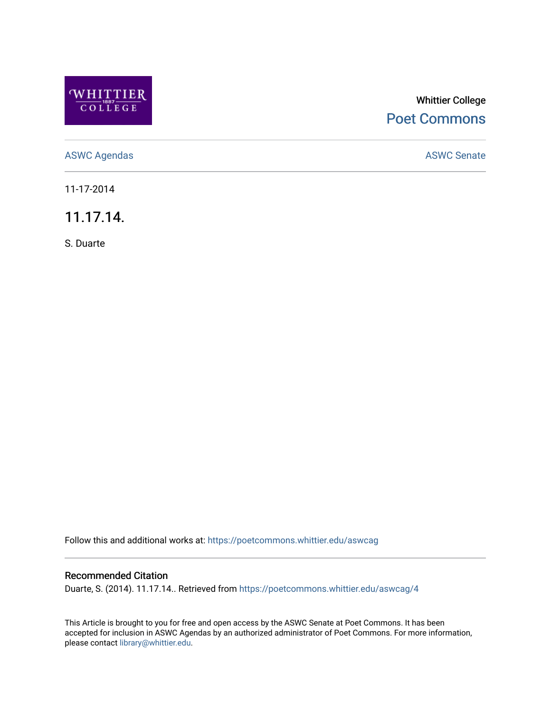

## Whittier College [Poet Commons](https://poetcommons.whittier.edu/)

[ASWC Agendas](https://poetcommons.whittier.edu/aswcag) **ASWC Senate** 

11-17-2014

11.17.14.

S. Duarte

Follow this and additional works at: [https://poetcommons.whittier.edu/aswcag](https://poetcommons.whittier.edu/aswcag?utm_source=poetcommons.whittier.edu%2Faswcag%2F4&utm_medium=PDF&utm_campaign=PDFCoverPages) 

## Recommended Citation

Duarte, S. (2014). 11.17.14.. Retrieved from [https://poetcommons.whittier.edu/aswcag/4](https://poetcommons.whittier.edu/aswcag/4?utm_source=poetcommons.whittier.edu%2Faswcag%2F4&utm_medium=PDF&utm_campaign=PDFCoverPages) 

This Article is brought to you for free and open access by the ASWC Senate at Poet Commons. It has been accepted for inclusion in ASWC Agendas by an authorized administrator of Poet Commons. For more information, please contact [library@whittier.edu](mailto:library@whittier.edu).